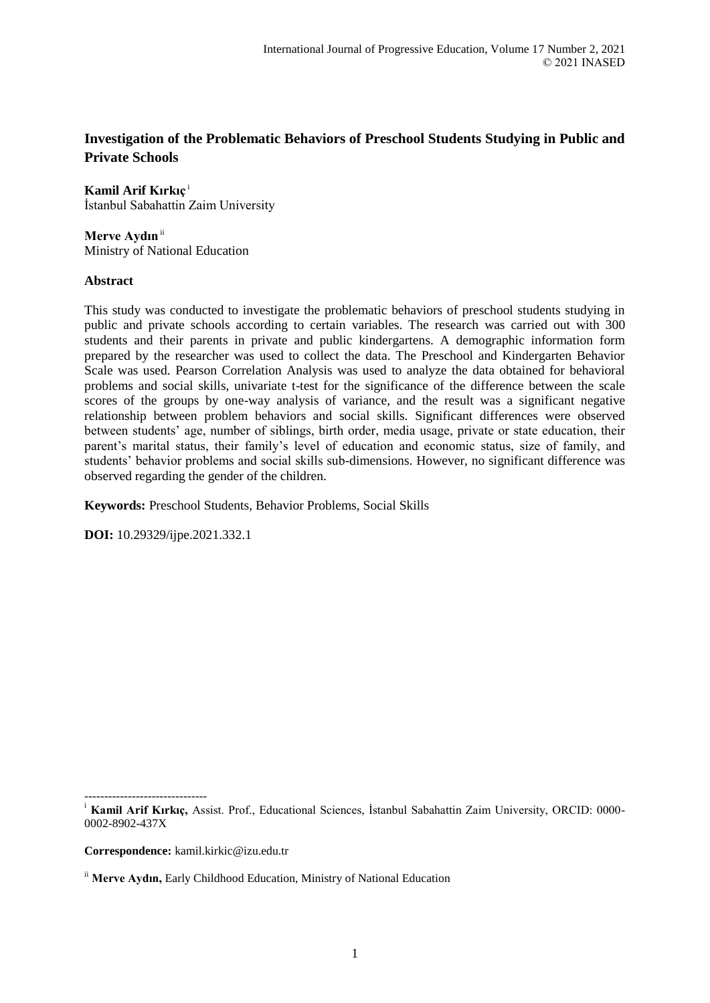# **Investigation of the Problematic Behaviors of Preschool Students Studying in Public and Private Schools**

**Kamil Arif Kırkıç** <sup>i</sup> İstanbul Sabahattin Zaim University

Merve Aydın<sup>ii</sup> Ministry of National Education

### **Abstract**

This study was conducted to investigate the problematic behaviors of preschool students studying in public and private schools according to certain variables. The research was carried out with 300 students and their parents in private and public kindergartens. A demographic information form prepared by the researcher was used to collect the data. The Preschool and Kindergarten Behavior Scale was used. Pearson Correlation Analysis was used to analyze the data obtained for behavioral problems and social skills, univariate t-test for the significance of the difference between the scale scores of the groups by one-way analysis of variance, and the result was a significant negative relationship between problem behaviors and social skills. Significant differences were observed between students' age, number of siblings, birth order, media usage, private or state education, their parent's marital status, their family's level of education and economic status, size of family, and students' behavior problems and social skills sub-dimensions. However, no significant difference was observed regarding the gender of the children.

**Keywords:** Preschool Students, Behavior Problems, Social Skills

**DOI:** 10.29329/ijpe.2021.332.1

**Correspondence:** kamil.kirkic@izu.edu.tr

<sup>-------------------------------</sup> <sup>i</sup> Kamil Arif Kırkıç, Assist. Prof., Educational Sciences, İstanbul Sabahattin Zaim University, ORCID: 0000-0002-8902-437X

ii **Merve Aydın,** Early Childhood Education, Ministry of National Education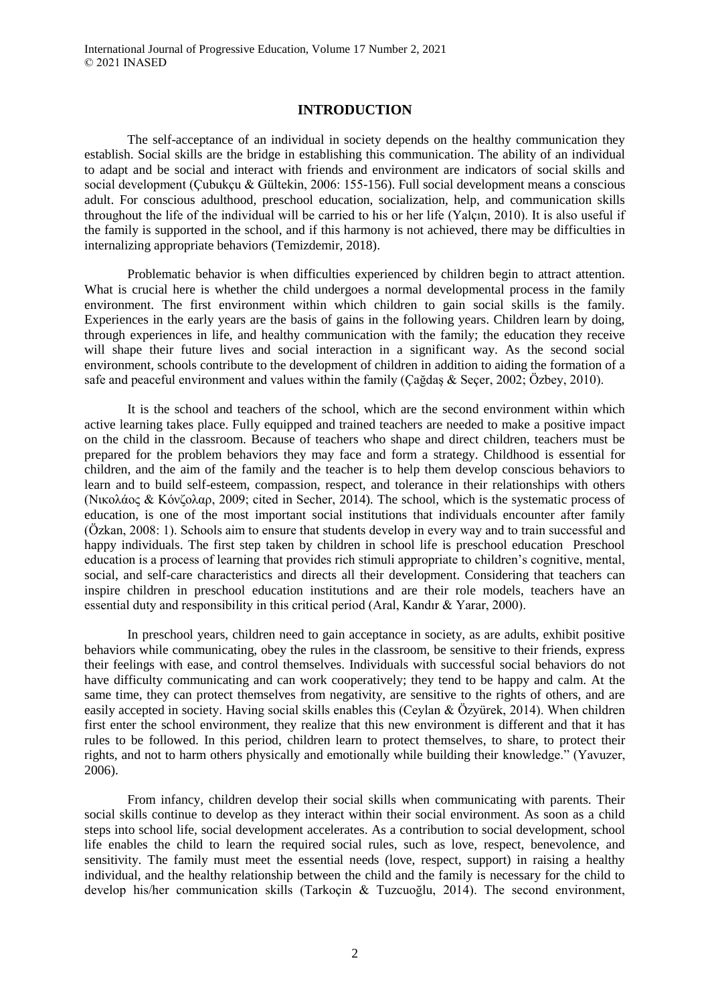#### **INTRODUCTION**

The self-acceptance of an individual in society depends on the healthy communication they establish. Social skills are the bridge in establishing this communication. The ability of an individual to adapt and be social and interact with friends and environment are indicators of social skills and social development (Çubukçu & Gültekin, 2006: 155-156). Full social development means a conscious adult. For conscious adulthood, preschool education, socialization, help, and communication skills throughout the life of the individual will be carried to his or her life (Yalçın, 2010). It is also useful if the family is supported in the school, and if this harmony is not achieved, there may be difficulties in internalizing appropriate behaviors (Temizdemir, 2018).

Problematic behavior is when difficulties experienced by children begin to attract attention. What is crucial here is whether the child undergoes a normal developmental process in the family environment. The first environment within which children to gain social skills is the family. Experiences in the early years are the basis of gains in the following years. Children learn by doing, through experiences in life, and healthy communication with the family; the education they receive will shape their future lives and social interaction in a significant way. As the second social environment, schools contribute to the development of children in addition to aiding the formation of a safe and peaceful environment and values within the family (Çağdaş & Seçer, 2002; Özbey, 2010).

It is the school and teachers of the school, which are the second environment within which active learning takes place. Fully equipped and trained teachers are needed to make a positive impact on the child in the classroom. Because of teachers who shape and direct children, teachers must be prepared for the problem behaviors they may face and form a strategy. Childhood is essential for children, and the aim of the family and the teacher is to help them develop conscious behaviors to learn and to build self-esteem, compassion, respect, and tolerance in their relationships with others (Νικολάος & Κόνζολαρ, 2009; cited in Secher, 2014). The school, which is the systematic process of education, is one of the most important social institutions that individuals encounter after family (Özkan, 2008: 1). Schools aim to ensure that students develop in every way and to train successful and happy individuals. The first step taken by children in school life is preschool education Preschool education is a process of learning that provides rich stimuli appropriate to children's cognitive, mental, social, and self-care characteristics and directs all their development. Considering that teachers can inspire children in preschool education institutions and are their role models, teachers have an essential duty and responsibility in this critical period (Aral, Kandır & Yarar, 2000).

In preschool years, children need to gain acceptance in society, as are adults, exhibit positive behaviors while communicating, obey the rules in the classroom, be sensitive to their friends, express their feelings with ease, and control themselves. Individuals with successful social behaviors do not have difficulty communicating and can work cooperatively; they tend to be happy and calm. At the same time, they can protect themselves from negativity, are sensitive to the rights of others, and are easily accepted in society. Having social skills enables this (Ceylan & Özyürek, 2014). When children first enter the school environment, they realize that this new environment is different and that it has rules to be followed. In this period, children learn to protect themselves, to share, to protect their rights, and not to harm others physically and emotionally while building their knowledge." (Yavuzer, 2006).

From infancy, children develop their social skills when communicating with parents. Their social skills continue to develop as they interact within their social environment. As soon as a child steps into school life, social development accelerates. As a contribution to social development, school life enables the child to learn the required social rules, such as love, respect, benevolence, and sensitivity. The family must meet the essential needs (love, respect, support) in raising a healthy individual, and the healthy relationship between the child and the family is necessary for the child to develop his/her communication skills (Tarkoçin & Tuzcuoğlu, 2014). The second environment,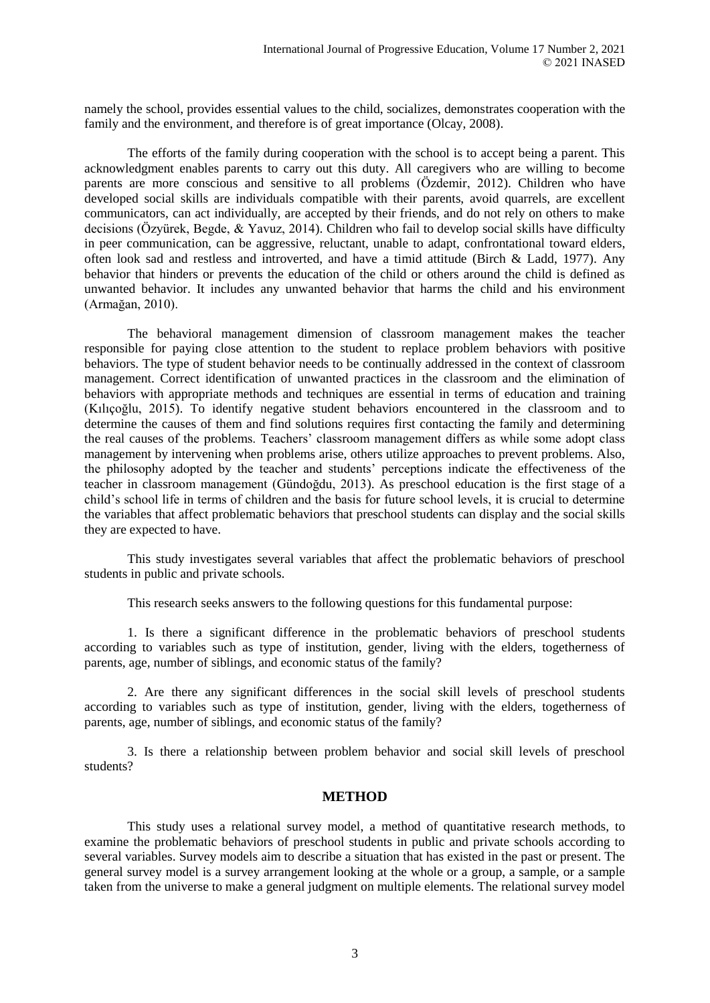namely the school, provides essential values to the child, socializes, demonstrates cooperation with the family and the environment, and therefore is of great importance (Olcay, 2008).

The efforts of the family during cooperation with the school is to accept being a parent. This acknowledgment enables parents to carry out this duty. All caregivers who are willing to become parents are more conscious and sensitive to all problems (Özdemir, 2012). Children who have developed social skills are individuals compatible with their parents, avoid quarrels, are excellent communicators, can act individually, are accepted by their friends, and do not rely on others to make decisions (Özyürek, Begde, & Yavuz, 2014). Children who fail to develop social skills have difficulty in peer communication, can be aggressive, reluctant, unable to adapt, confrontational toward elders, often look sad and restless and introverted, and have a timid attitude (Birch & Ladd, 1977). Any behavior that hinders or prevents the education of the child or others around the child is defined as unwanted behavior. It includes any unwanted behavior that harms the child and his environment (Armağan, 2010).

The behavioral management dimension of classroom management makes the teacher responsible for paying close attention to the student to replace problem behaviors with positive behaviors. The type of student behavior needs to be continually addressed in the context of classroom management. Correct identification of unwanted practices in the classroom and the elimination of behaviors with appropriate methods and techniques are essential in terms of education and training (Kılıçoğlu, 2015). To identify negative student behaviors encountered in the classroom and to determine the causes of them and find solutions requires first contacting the family and determining the real causes of the problems. Teachers' classroom management differs as while some adopt class management by intervening when problems arise, others utilize approaches to prevent problems. Also, the philosophy adopted by the teacher and students' perceptions indicate the effectiveness of the teacher in classroom management (Gündoğdu, 2013). As preschool education is the first stage of a child's school life in terms of children and the basis for future school levels, it is crucial to determine the variables that affect problematic behaviors that preschool students can display and the social skills they are expected to have.

This study investigates several variables that affect the problematic behaviors of preschool students in public and private schools.

This research seeks answers to the following questions for this fundamental purpose:

1. Is there a significant difference in the problematic behaviors of preschool students according to variables such as type of institution, gender, living with the elders, togetherness of parents, age, number of siblings, and economic status of the family?

2. Are there any significant differences in the social skill levels of preschool students according to variables such as type of institution, gender, living with the elders, togetherness of parents, age, number of siblings, and economic status of the family?

3. Is there a relationship between problem behavior and social skill levels of preschool students?

#### **METHOD**

This study uses a relational survey model, a method of quantitative research methods, to examine the problematic behaviors of preschool students in public and private schools according to several variables. Survey models aim to describe a situation that has existed in the past or present. The general survey model is a survey arrangement looking at the whole or a group, a sample, or a sample taken from the universe to make a general judgment on multiple elements. The relational survey model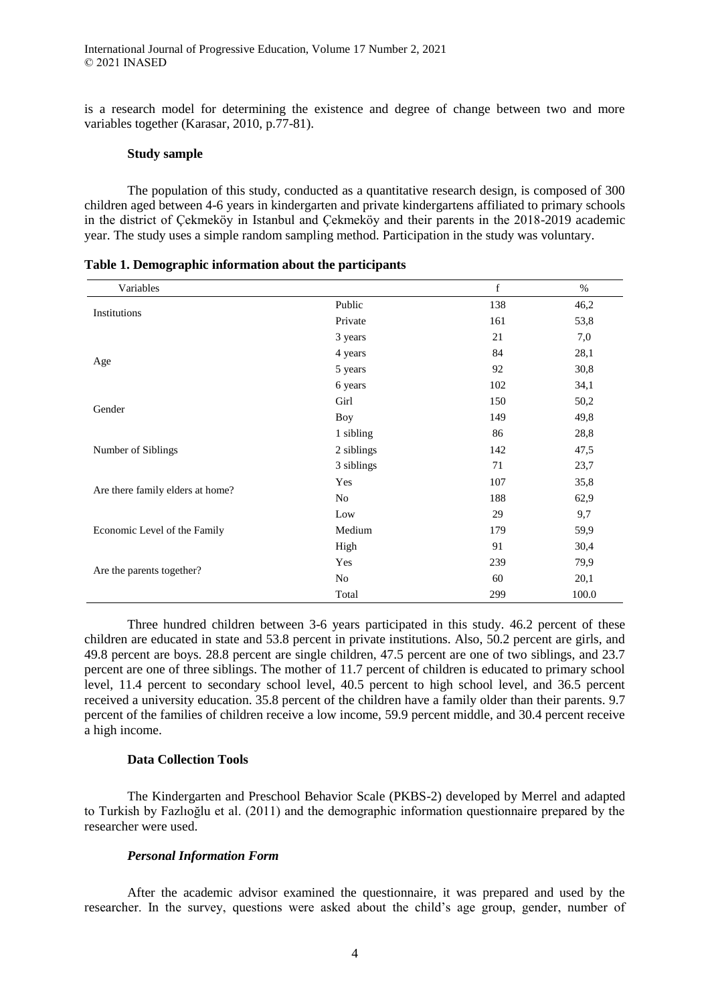is a research model for determining the existence and degree of change between two and more variables together (Karasar, 2010, p.77-81).

#### **Study sample**

The population of this study, conducted as a quantitative research design, is composed of 300 children aged between 4-6 years in kindergarten and private kindergartens affiliated to primary schools in the district of Çekmeköy in Istanbul and Çekmeköy and their parents in the 2018-2019 academic year. The study uses a simple random sampling method. Participation in the study was voluntary.

| Variables                        |            | $\mathbf f$ | $\%$  |
|----------------------------------|------------|-------------|-------|
|                                  | Public     | 138         | 46,2  |
| Institutions                     | Private    | 161         | 53,8  |
|                                  | 3 years    | 21          | 7,0   |
|                                  | 4 years    | 84          | 28,1  |
| Age                              | 5 years    | 92          | 30,8  |
|                                  | 6 years    | 102         | 34,1  |
| Gender                           | Girl       | 150         | 50,2  |
|                                  | <b>Boy</b> | 149         | 49,8  |
|                                  | 1 sibling  | 86          | 28,8  |
| Number of Siblings               | 2 siblings | 142         | 47,5  |
|                                  | 3 siblings | 71          | 23,7  |
|                                  | Yes        | 107         | 35,8  |
| Are there family elders at home? | No         | 188         | 62,9  |
|                                  | Low        | 29          | 9,7   |
| Economic Level of the Family     | Medium     | 179         | 59,9  |
|                                  | High       | 91          | 30,4  |
|                                  | Yes        | 239         | 79,9  |
| Are the parents together?        | No         | 60          | 20,1  |
|                                  | Total      | 299         | 100.0 |

| Table 1. Demographic information about the participants |  |  |  |  |  |  |
|---------------------------------------------------------|--|--|--|--|--|--|
|---------------------------------------------------------|--|--|--|--|--|--|

Three hundred children between 3-6 years participated in this study. 46.2 percent of these children are educated in state and 53.8 percent in private institutions. Also, 50.2 percent are girls, and 49.8 percent are boys. 28.8 percent are single children, 47.5 percent are one of two siblings, and 23.7 percent are one of three siblings. The mother of 11.7 percent of children is educated to primary school level, 11.4 percent to secondary school level, 40.5 percent to high school level, and 36.5 percent received a university education. 35.8 percent of the children have a family older than their parents. 9.7 percent of the families of children receive a low income, 59.9 percent middle, and 30.4 percent receive a high income.

#### **Data Collection Tools**

The Kindergarten and Preschool Behavior Scale (PKBS-2) developed by Merrel and adapted to Turkish by Fazlıoğlu et al. (2011) and the demographic information questionnaire prepared by the researcher were used.

#### *Personal Information Form*

After the academic advisor examined the questionnaire, it was prepared and used by the researcher. In the survey, questions were asked about the child's age group, gender, number of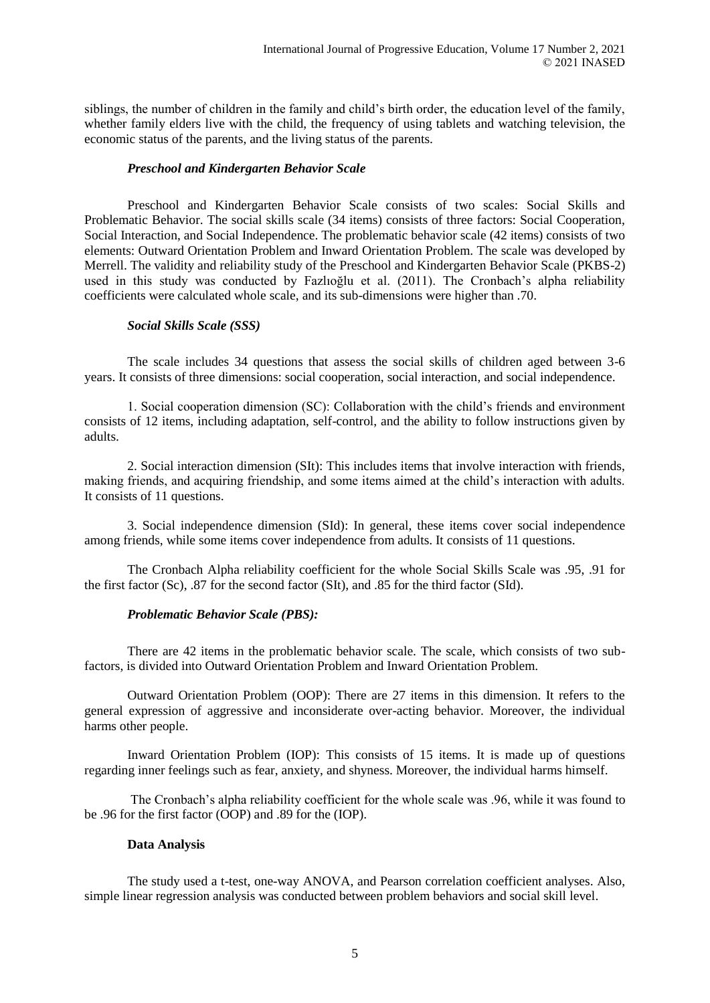siblings, the number of children in the family and child's birth order, the education level of the family, whether family elders live with the child, the frequency of using tablets and watching television, the economic status of the parents, and the living status of the parents.

#### *Preschool and Kindergarten Behavior Scale*

Preschool and Kindergarten Behavior Scale consists of two scales: Social Skills and Problematic Behavior. The social skills scale (34 items) consists of three factors: Social Cooperation, Social Interaction, and Social Independence. The problematic behavior scale (42 items) consists of two elements: Outward Orientation Problem and Inward Orientation Problem. The scale was developed by Merrell. The validity and reliability study of the Preschool and Kindergarten Behavior Scale (PKBS-2) used in this study was conducted by Fazlıoğlu et al. (2011). The Cronbach's alpha reliability coefficients were calculated whole scale, and its sub-dimensions were higher than .70.

### *Social Skills Scale (SSS)*

The scale includes 34 questions that assess the social skills of children aged between 3-6 years. It consists of three dimensions: social cooperation, social interaction, and social independence.

1. Social cooperation dimension (SC): Collaboration with the child's friends and environment consists of 12 items, including adaptation, self-control, and the ability to follow instructions given by adults.

2. Social interaction dimension (SIt): This includes items that involve interaction with friends, making friends, and acquiring friendship, and some items aimed at the child's interaction with adults. It consists of 11 questions.

3. Social independence dimension (SId): In general, these items cover social independence among friends, while some items cover independence from adults. It consists of 11 questions.

The Cronbach Alpha reliability coefficient for the whole Social Skills Scale was .95, .91 for the first factor (Sc), .87 for the second factor (SIt), and .85 for the third factor (SId).

#### *Problematic Behavior Scale (PBS):*

There are 42 items in the problematic behavior scale. The scale, which consists of two subfactors, is divided into Outward Orientation Problem and Inward Orientation Problem.

Outward Orientation Problem (OOP): There are 27 items in this dimension. It refers to the general expression of aggressive and inconsiderate over-acting behavior. Moreover, the individual harms other people.

Inward Orientation Problem (IOP): This consists of 15 items. It is made up of questions regarding inner feelings such as fear, anxiety, and shyness. Moreover, the individual harms himself.

The Cronbach's alpha reliability coefficient for the whole scale was .96, while it was found to be .96 for the first factor (OOP) and .89 for the (IOP).

#### **Data Analysis**

The study used a t-test, one-way ANOVA, and Pearson correlation coefficient analyses. Also, simple linear regression analysis was conducted between problem behaviors and social skill level.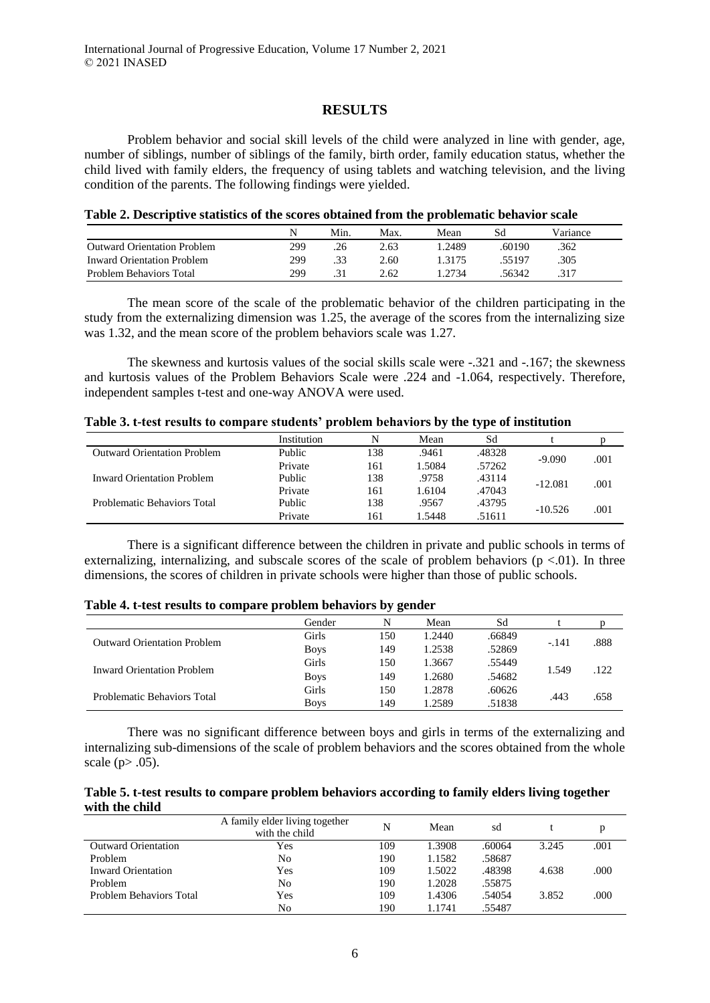#### **RESULTS**

Problem behavior and social skill levels of the child were analyzed in line with gender, age, number of siblings, number of siblings of the family, birth order, family education status, whether the child lived with family elders, the frequency of using tablets and watching television, and the living condition of the parents. The following findings were yielded.

| Table 2. Descriptive statistics of the scores obtained from the problematic behavior scale |  |  |
|--------------------------------------------------------------------------------------------|--|--|
|--------------------------------------------------------------------------------------------|--|--|

|                                    |     | Min. | Max. | Mean  | Sd     | Variance |
|------------------------------------|-----|------|------|-------|--------|----------|
| <b>Outward Orientation Problem</b> | 299 | .26  | 2.63 | .2489 | .60190 | .362     |
| Inward Orientation Problem         | 299 | .33  | 2.60 | -3175 | 55197. | .305     |
| Problem Behaviors Total            | 299 | .31  | 2.62 | 2734  | 56342  | .317     |

The mean score of the scale of the problematic behavior of the children participating in the study from the externalizing dimension was 1.25, the average of the scores from the internalizing size was 1.32, and the mean score of the problem behaviors scale was 1.27.

The skewness and kurtosis values of the social skills scale were -.321 and -.167; the skewness and kurtosis values of the Problem Behaviors Scale were .224 and -1.064, respectively. Therefore, independent samples t-test and one-way ANOVA were used.

| Table 3. t-test results to compare students' problem behaviors by the type of institution |  |  |  |
|-------------------------------------------------------------------------------------------|--|--|--|
|-------------------------------------------------------------------------------------------|--|--|--|

|                                    | Institution | N   | Mean   | Sd     |           |      |
|------------------------------------|-------------|-----|--------|--------|-----------|------|
| <b>Outward Orientation Problem</b> | Public      | 138 | .9461  | .48328 | $-9.090$  |      |
|                                    | Private     | 161 | 1.5084 | .57262 |           | .001 |
| <b>Inward Orientation Problem</b>  | Public      | 138 | .9758  | .43114 | $-12.081$ | .001 |
|                                    | Private     | 161 | 1.6104 | .47043 |           |      |
| Problematic Behaviors Total        | Public      | 138 | .9567  | .43795 | $-10.526$ | .001 |
|                                    | Private     | 161 | 1.5448 | .51611 |           |      |

There is a significant difference between the children in private and public schools in terms of externalizing, internalizing, and subscale scores of the scale of problem behaviors ( $p \lt 0.01$ ). In three dimensions, the scores of children in private schools were higher than those of public schools.

| <b>Table 4. Gest results to compare problem behaviors by gender</b> |              |     |        |        |        |      |  |  |  |  |
|---------------------------------------------------------------------|--------------|-----|--------|--------|--------|------|--|--|--|--|
|                                                                     | Gender       |     | Mean   | Sd     |        |      |  |  |  |  |
| <b>Outward Orientation Problem</b>                                  | Girls        | 150 | 1.2440 | .66849 | $-141$ | .888 |  |  |  |  |
|                                                                     | <b>Boys</b>  | 149 | 1.2538 | .52869 |        |      |  |  |  |  |
| <b>Inward Orientation Problem</b>                                   | Girls        | 150 | 1.3667 | .55449 | 1.549  | .122 |  |  |  |  |
|                                                                     | <b>Boys</b>  | 149 | 1.2680 | .54682 |        |      |  |  |  |  |
|                                                                     | <b>Girls</b> | 150 | 1.2878 | .60626 | .443   | .658 |  |  |  |  |
| Problematic Behaviors Total                                         | <b>Boys</b>  | 149 | 1.2589 | .51838 |        |      |  |  |  |  |

## **Table 4. t-test results to compare problem behaviors by gender**

There was no significant difference between boys and girls in terms of the externalizing and internalizing sub-dimensions of the scale of problem behaviors and the scores obtained from the whole scale ( $p$  $> .05$ ).

| Table 5. t-test results to compare problem behaviors according to family elders living together |  |
|-------------------------------------------------------------------------------------------------|--|
| with the child                                                                                  |  |

|                            | A family elder living together<br>with the child | N   | Mean   | sd     |       |      |
|----------------------------|--------------------------------------------------|-----|--------|--------|-------|------|
| <b>Outward Orientation</b> | Yes                                              | 109 | 1.3908 | .60064 | 3.245 | .001 |
| Problem                    | No                                               | 190 | 1.1582 | .58687 |       |      |
| Inward Orientation         | Yes                                              | 109 | 1.5022 | .48398 | 4.638 | .000 |
| Problem                    | No                                               | 190 | 1.2028 | .55875 |       |      |
| Problem Behaviors Total    | Yes                                              | 109 | 1.4306 | .54054 | 3.852 | .000 |
|                            | No                                               | 190 | 1.1741 | .55487 |       |      |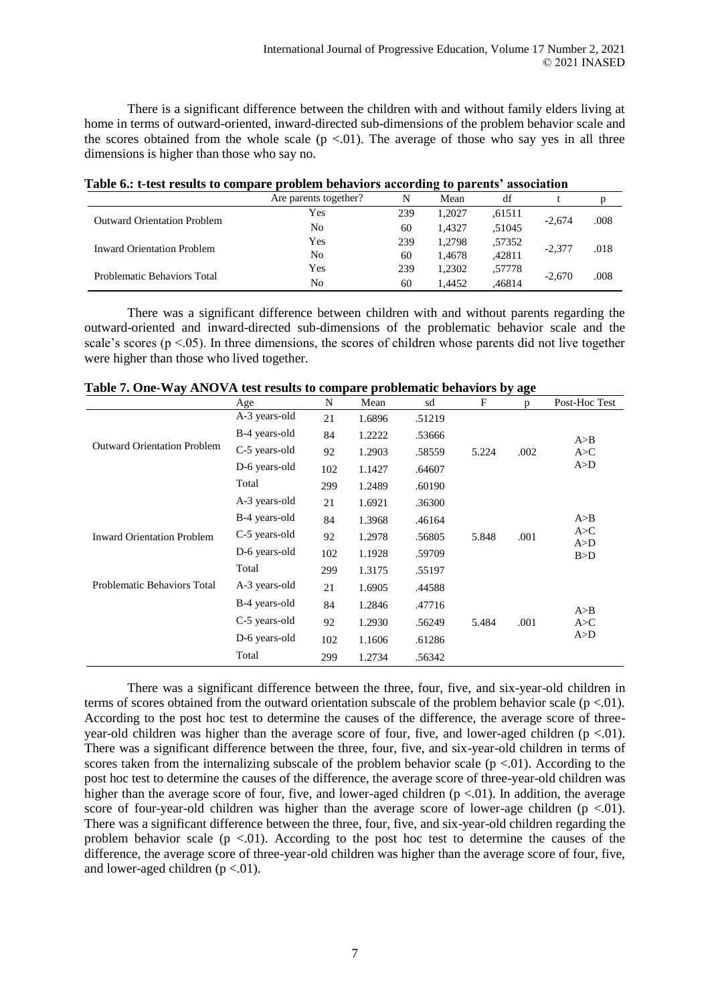There is a significant difference between the children with and without family elders living at home in terms of outward-oriented, inward-directed sub-dimensions of the problem behavior scale and the scores obtained from the whole scale  $(p \lt 0.01)$ . The average of those who say yes in all three dimensions is higher than those who say no.

| Table on t-lest results to compare problem behaviors according to parents "association |                       |     |        |        |          |      |  |  |
|----------------------------------------------------------------------------------------|-----------------------|-----|--------|--------|----------|------|--|--|
|                                                                                        | Are parents together? | N   | Mean   | df     |          |      |  |  |
| <b>Outward Orientation Problem</b>                                                     | Yes                   | 239 | 1.2027 | .61511 |          |      |  |  |
|                                                                                        | No                    | 60  | 1.4327 | .51045 | $-2.674$ | .008 |  |  |
| <b>Inward Orientation Problem</b>                                                      | Yes                   | 239 | 1.2798 | .57352 | $-2.377$ | .018 |  |  |
|                                                                                        | No                    | 60  | 1.4678 | .42811 |          |      |  |  |
| Problematic Behaviors Total                                                            | Yes                   | 239 | 1.2302 | .57778 | $-2.670$ |      |  |  |
|                                                                                        | No                    | 60  | 1.4452 | .46814 |          | .008 |  |  |

**Table 6.: t-test results to compare problem behaviors according to parents' association**

There was a significant difference between children with and without parents regarding the outward-oriented and inward-directed sub-dimensions of the problematic behavior scale and the scale's scores ( $p < .05$ ). In three dimensions, the scores of children whose parents did not live together were higher than those who lived together.

|                                    | Age           | N   | Mean   | sd     | F     | p    | Post-Hoc Test |
|------------------------------------|---------------|-----|--------|--------|-------|------|---------------|
|                                    | A-3 years-old | 21  | 1.6896 | .51219 |       |      |               |
|                                    | B-4 years-old | 84  | 1.2222 | .53666 |       |      | A>B           |
| <b>Outward Orientation Problem</b> | C-5 years-old | 92  | 1.2903 | .58559 | 5.224 | .002 | A > C         |
|                                    | D-6 years-old | 102 | 1.1427 | .64607 |       |      | A>D           |
|                                    | Total         | 299 | 1.2489 | .60190 |       |      |               |
|                                    | A-3 years-old | 21  | 1.6921 | .36300 |       |      |               |
|                                    | B-4 years-old | 84  | 1.3968 | .46164 |       |      | A>B           |
| <b>Inward Orientation Problem</b>  | C-5 years-old | 92  | 1.2978 | .56805 | 5.848 | .001 | A > C         |
|                                    | D-6 years-old | 102 | 1.1928 | .59709 |       |      | A>D<br>B>D    |
|                                    | Total         | 299 | 1.3175 | .55197 |       |      |               |
| Problematic Behaviors Total        | A-3 years-old | 21  | 1.6905 | .44588 |       |      |               |
|                                    | B-4 years-old | 84  | 1.2846 | .47716 |       |      |               |
|                                    | C-5 years-old | 92  | 1.2930 | .56249 | 5.484 | .001 | A>B<br>A > C  |
|                                    | D-6 years-old | 102 | 1.1606 | .61286 |       |      | A>D           |
|                                    | Total         | 299 | 1.2734 | .56342 |       |      |               |

**Table 7. One-Way ANOVA test results to compare problematic behaviors by age**

There was a significant difference between the three, four, five, and six-year-old children in terms of scores obtained from the outward orientation subscale of the problem behavior scale ( $p < .01$ ). According to the post hoc test to determine the causes of the difference, the average score of threeyear-old children was higher than the average score of four, five, and lower-aged children ( $p < 01$ ). There was a significant difference between the three, four, five, and six-year-old children in terms of scores taken from the internalizing subscale of the problem behavior scale ( $p < 01$ ). According to the post hoc test to determine the causes of the difference, the average score of three-year-old children was higher than the average score of four, five, and lower-aged children  $(p < 0.01)$ . In addition, the average score of four-year-old children was higher than the average score of lower-age children ( $p < 01$ ). There was a significant difference between the three, four, five, and six-year-old children regarding the problem behavior scale ( $p < 0.01$ ). According to the post hoc test to determine the causes of the difference, the average score of three-year-old children was higher than the average score of four, five, and lower-aged children  $(p < 0.01)$ .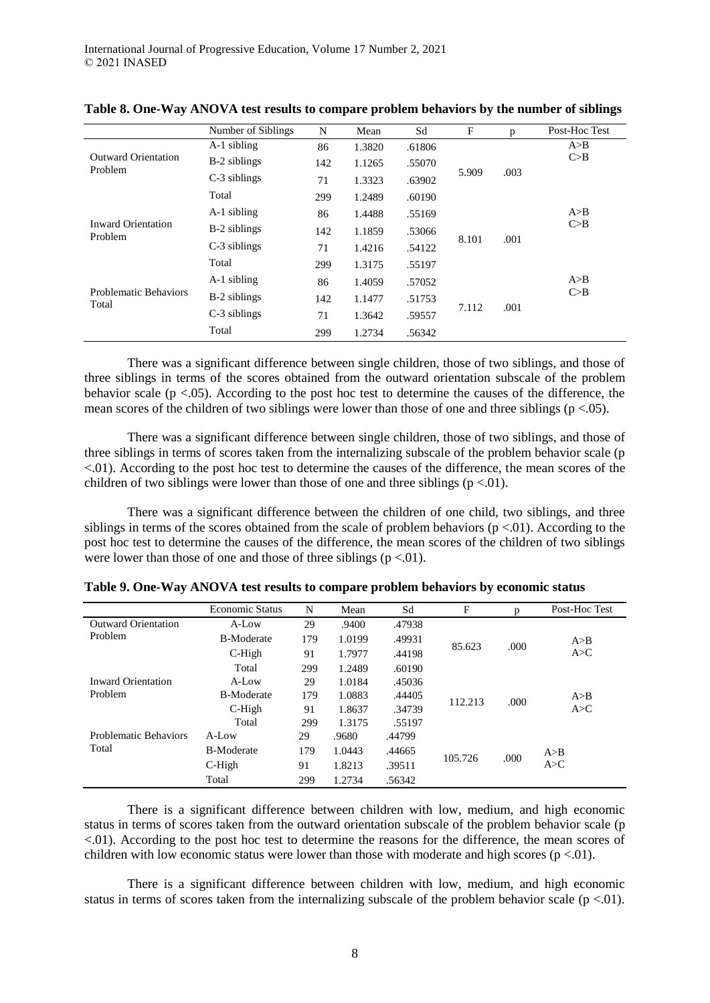|                                       | Number of Siblings | N   | Mean   | Sd     | $\mathbf{F}$ | p    | Post-Hoc Test |
|---------------------------------------|--------------------|-----|--------|--------|--------------|------|---------------|
|                                       | A-1 sibling        | 86  | 1.3820 | .61806 |              |      | A>B           |
| <b>Outward Orientation</b><br>Problem | B-2 siblings       | 142 | 1.1265 | .55070 |              |      | C>B           |
|                                       | C-3 siblings       | 71  | 1.3323 | .63902 | 5.909        | .003 |               |
|                                       | Total              | 299 | 1.2489 | .60190 |              |      |               |
| <b>Inward Orientation</b><br>Problem  | A-1 sibling        | 86  | 1.4488 | .55169 |              |      | A > B         |
|                                       | B-2 siblings       | 142 | 1.1859 | .53066 |              | .001 | C>B           |
|                                       | C-3 siblings       | 71  | 1.4216 | .54122 | 8.101        |      |               |
|                                       | Total              | 299 | 1.3175 | .55197 |              |      |               |
|                                       | A-1 sibling        | 86  | 1.4059 | .57052 |              |      | A>B           |
| <b>Problematic Behaviors</b><br>Total | B-2 siblings       | 142 | 1.1477 | .51753 |              |      | C > B         |
|                                       | C-3 siblings       | 71  | 1.3642 | .59557 | 7.112        | .001 |               |
|                                       | Total              | 299 | 1.2734 | .56342 |              |      |               |

**Table 8. One-Way ANOVA test results to compare problem behaviors by the number of siblings**

There was a significant difference between single children, those of two siblings, and those of three siblings in terms of the scores obtained from the outward orientation subscale of the problem behavior scale  $(p < .05)$ . According to the post hoc test to determine the causes of the difference, the mean scores of the children of two siblings were lower than those of one and three siblings ( $p < .05$ ).

There was a significant difference between single children, those of two siblings, and those of three siblings in terms of scores taken from the internalizing subscale of the problem behavior scale (p <.01). According to the post hoc test to determine the causes of the difference, the mean scores of the children of two siblings were lower than those of one and three siblings ( $p < 01$ ).

There was a significant difference between the children of one child, two siblings, and three siblings in terms of the scores obtained from the scale of problem behaviors ( $p < 01$ ). According to the post hoc test to determine the causes of the difference, the mean scores of the children of two siblings were lower than those of one and those of three siblings  $(p < 0.01)$ .

|                              | <b>Economic Status</b> | N   | Mean   | Sd     | F       | p    | Post-Hoc Test |
|------------------------------|------------------------|-----|--------|--------|---------|------|---------------|
| <b>Outward Orientation</b>   | A-Low                  | 29  | .9400  | .47938 |         |      |               |
| Problem                      | <b>B-Moderate</b>      | 179 | 1.0199 | .49931 | 85.623  |      | A>B           |
|                              | $C$ -High              | 91  | 1.7977 | .44198 |         | .000 | A > C         |
|                              | Total                  | 299 | 1.2489 | .60190 |         |      |               |
| <b>Inward Orientation</b>    | $A-I_0w$               | 29  | 1.0184 | .45036 |         |      |               |
| Problem                      | <b>B-Moderate</b>      | 179 | 1.0883 | .44405 | 112.213 | .000 | A > B         |
|                              | $C$ -High              | 91  | 1.8637 | .34739 |         |      | A > C         |
|                              | Total                  | 299 | 1.3175 | .55197 |         |      |               |
| <b>Problematic Behaviors</b> | $A-I_0w$               | 29  | .9680  | .44799 |         |      |               |
| Total                        | <b>B-Moderate</b>      | 179 | 1.0443 | .44665 | 105.726 | .000 | A > B         |
|                              | $C$ -High              | 91  | 1.8213 | .39511 |         |      | A > C         |
|                              | Total                  | 299 | 1.2734 | .56342 |         |      |               |

**Table 9. One-Way ANOVA test results to compare problem behaviors by economic status**

There is a significant difference between children with low, medium, and high economic status in terms of scores taken from the outward orientation subscale of the problem behavior scale (p <.01). According to the post hoc test to determine the reasons for the difference, the mean scores of children with low economic status were lower than those with moderate and high scores ( $p < 01$ ).

There is a significant difference between children with low, medium, and high economic status in terms of scores taken from the internalizing subscale of the problem behavior scale ( $p < 0.01$ ).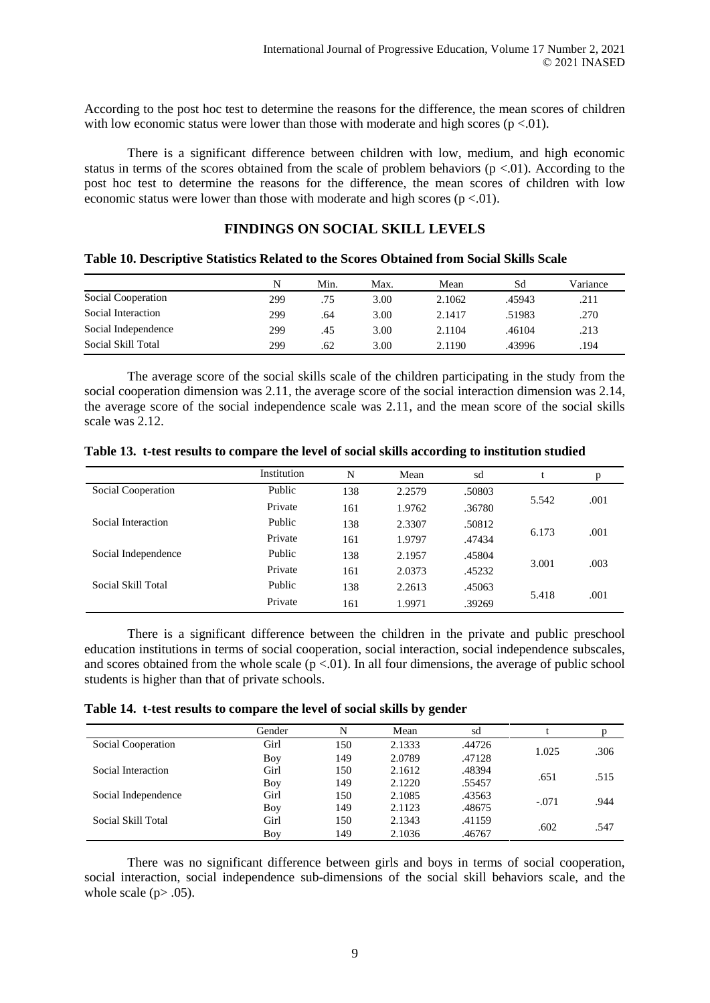According to the post hoc test to determine the reasons for the difference, the mean scores of children with low economic status were lower than those with moderate and high scores ( $p < 0.01$ ).

There is a significant difference between children with low, medium, and high economic status in terms of the scores obtained from the scale of problem behaviors  $(p < 0.01)$ . According to the post hoc test to determine the reasons for the difference, the mean scores of children with low economic status were lower than those with moderate and high scores ( $p < 01$ ).

### **FINDINGS ON SOCIAL SKILL LEVELS**

#### **Table 10. Descriptive Statistics Related to the Scores Obtained from Social Skills Scale**

|                     | N   | Min. | Max. | Mean   | Sd     | Variance |
|---------------------|-----|------|------|--------|--------|----------|
| Social Cooperation  | 299 | .75  | 3.00 | 2.1062 | .45943 | .211     |
| Social Interaction  | 299 | .64  | 3.00 | 2.1417 | 51983. | .270     |
| Social Independence | 299 | .45  | 3.00 | 2.1104 | .46104 | .213     |
| Social Skill Total  | 299 | .62  | 3.00 | 2.1190 | 43996  | .194     |

The average score of the social skills scale of the children participating in the study from the social cooperation dimension was 2.11, the average score of the social interaction dimension was 2.14, the average score of the social independence scale was 2.11, and the mean score of the social skills scale was 2.12.

|                     | Institution | N   | Mean   | sd     |       | p    |
|---------------------|-------------|-----|--------|--------|-------|------|
| Social Cooperation  | Public      | 138 | 2.2579 | .50803 |       |      |
|                     | Private     | 161 | 1.9762 | .36780 | 5.542 | .001 |
| Social Interaction  | Public      | 138 | 2.3307 | .50812 |       |      |
|                     | Private     | 161 | 1.9797 | .47434 | 6.173 | .001 |
| Social Independence | Public      | 138 | 2.1957 | .45804 | 3.001 | .003 |
|                     | Private     | 161 | 2.0373 | .45232 |       |      |
| Social Skill Total  | Public      | 138 | 2.2613 | .45063 |       |      |
|                     | Private     | 161 | 1.9971 | .39269 | 5.418 | .001 |

**Table 13. t-test results to compare the level of social skills according to institution studied** 

There is a significant difference between the children in the private and public preschool education institutions in terms of social cooperation, social interaction, social independence subscales, and scores obtained from the whole scale  $(p < 0.01)$ . In all four dimensions, the average of public school students is higher than that of private schools.

**Table 14. t-test results to compare the level of social skills by gender**

|                     | Gender | N   | Mean   | sd     |         |      |
|---------------------|--------|-----|--------|--------|---------|------|
| Social Cooperation  | Girl   | 150 | 2.1333 | .44726 | 1.025   |      |
|                     | Boy    | 149 | 2.0789 | .47128 |         | .306 |
| Social Interaction  | Girl   | 150 | 2.1612 | .48394 | .651    | .515 |
|                     | Boy    | 149 | 2.1220 | .55457 |         |      |
| Social Independence | Girl   | 150 | 2.1085 | .43563 | $-.071$ | .944 |
|                     | Boy    | 149 | 2.1123 | .48675 |         |      |
| Social Skill Total  | Girl   | 150 | 2.1343 | .41159 | .602    | .547 |
|                     | Boy    | 149 | 2.1036 | .46767 |         |      |

There was no significant difference between girls and boys in terms of social cooperation, social interaction, social independence sub-dimensions of the social skill behaviors scale, and the whole scale ( $p$  $> .05$ ).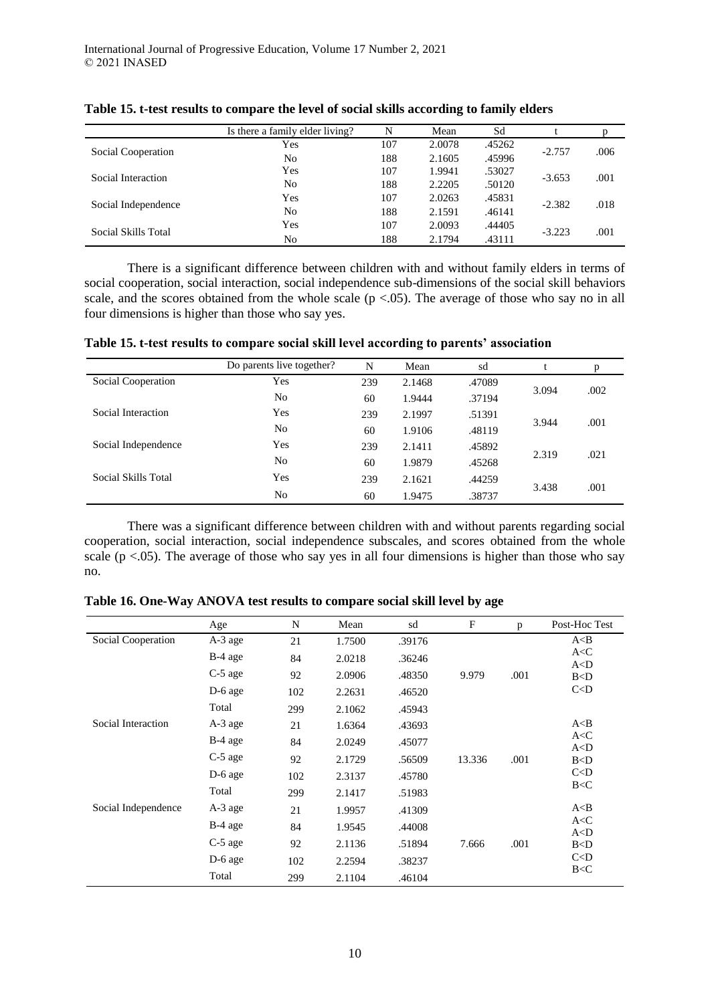|                     | Is there a family elder living? | N   | Mean   | Sd     |          |      |
|---------------------|---------------------------------|-----|--------|--------|----------|------|
|                     | Yes                             | 107 | 2.0078 | .45262 | $-2.757$ | .006 |
| Social Cooperation  | N <sub>0</sub>                  | 188 | 2.1605 | .45996 |          |      |
| Social Interaction  | <b>Yes</b>                      | 107 | 1.9941 | .53027 |          | .001 |
|                     | N <sub>0</sub>                  | 188 | 2.2205 | .50120 | $-3.653$ |      |
|                     | Yes                             | 107 | 2.0263 | .45831 |          |      |
| Social Independence | N <sub>0</sub>                  | 188 | 2.1591 | .46141 | $-2.382$ | .018 |
| Social Skills Total | Yes                             | 107 | 2.0093 | .44405 |          |      |
|                     | N <sub>0</sub>                  | 188 | 2.1794 | .43111 | $-3.223$ | .001 |

**Table 15. t-test results to compare the level of social skills according to family elders**

There is a significant difference between children with and without family elders in terms of social cooperation, social interaction, social independence sub-dimensions of the social skill behaviors scale, and the scores obtained from the whole scale ( $p < .05$ ). The average of those who say no in all four dimensions is higher than those who say yes.

**Table 15. t-test results to compare social skill level according to parents' association**

|                     | Do parents live together? | N   | Mean   | sd     |       |      |
|---------------------|---------------------------|-----|--------|--------|-------|------|
| Social Cooperation  | Yes                       | 239 | 2.1468 | .47089 |       |      |
|                     | N <sub>0</sub>            | 60  | 1.9444 | .37194 | 3.094 | .002 |
| Social Interaction  | Yes                       | 239 | 2.1997 | .51391 |       |      |
|                     | N <sub>0</sub>            | 60  | 1.9106 | .48119 | 3.944 | .001 |
| Social Independence | Yes                       | 239 | 2.1411 | .45892 |       |      |
|                     | No                        | 60  | 1.9879 | .45268 | 2.319 | .021 |
| Social Skills Total | Yes                       | 239 | 2.1621 | .44259 |       |      |
|                     | N <sub>0</sub>            | 60  | 1.9475 | .38737 | 3.438 | .001 |

There was a significant difference between children with and without parents regarding social cooperation, social interaction, social independence subscales, and scores obtained from the whole scale ( $p < 0.05$ ). The average of those who say yes in all four dimensions is higher than those who say no.

|                     | Age       | N   | Mean   | sd     | $\mathbf F$ | p    | Post-Hoc Test  |
|---------------------|-----------|-----|--------|--------|-------------|------|----------------|
| Social Cooperation  | A-3 age   | 21  | 1.7500 | .39176 |             |      | A < B          |
|                     | B-4 age   | 84  | 2.0218 | .36246 |             |      | A < C<br>A < D |
|                     | C-5 age   | 92  | 2.0906 | .48350 | 9.979       | .001 | B < D          |
|                     | $D-6$ age | 102 | 2.2631 | .46520 |             |      | C < D          |
|                     | Total     | 299 | 2.1062 | .45943 |             |      |                |
| Social Interaction  | $A-3$ age | 21  | 1.6364 | .43693 |             |      | A < B          |
|                     | $B-4$ age | 84  | 2.0249 | .45077 |             |      | A < C<br>A < D |
|                     | C-5 age   | 92  | 2.1729 | .56509 | 13.336      | .001 | B < D          |
|                     | D-6 age   | 102 | 2.3137 | .45780 |             |      | C < D          |
|                     | Total     | 299 | 2.1417 | .51983 |             |      | B < C          |
| Social Independence | A-3 age   | 21  | 1.9957 | .41309 |             |      | A < B          |
|                     | $B-4$ age | 84  | 1.9545 | .44008 |             |      | A < C<br>A < D |
|                     | C-5 age   | 92  | 2.1136 | .51894 | 7.666       | .001 | B < D          |
|                     | $D-6$ age | 102 | 2.2594 | .38237 |             |      | C < D          |
|                     | Total     | 299 | 2.1104 | .46104 |             |      | B < C          |

**Table 16. One-Way ANOVA test results to compare social skill level by age**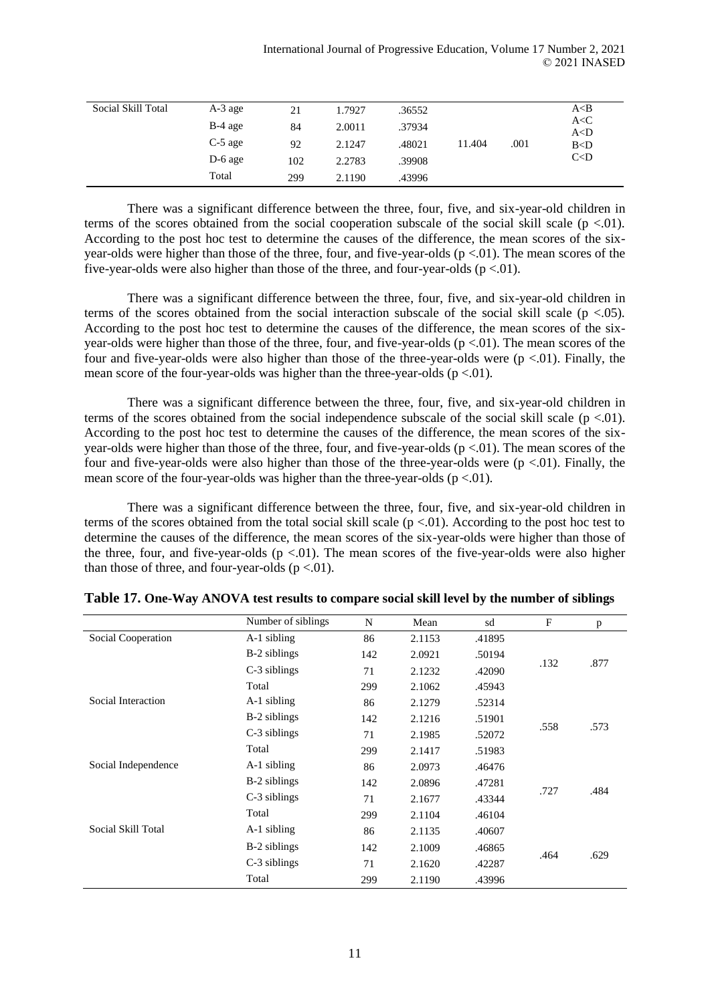| Social Skill Total | A-3 age   | 21  | 1.7927 | .36552 |        |      | A< B          |
|--------------------|-----------|-----|--------|--------|--------|------|---------------|
|                    | $B-4$ age | 84  | 2.0011 | .37934 |        |      | A < C         |
|                    | $C-5$ age |     |        |        |        |      | A < D         |
|                    |           | 92  | 2.1247 | .48021 | 11.404 | .001 | B < D<br>C< D |
|                    | $D-6$ age | 102 | 2.2783 | .39908 |        |      |               |
|                    | Total     | 299 | 2.1190 | .43996 |        |      |               |

There was a significant difference between the three, four, five, and six-year-old children in terms of the scores obtained from the social cooperation subscale of the social skill scale ( $p < 0.01$ ). According to the post hoc test to determine the causes of the difference, the mean scores of the sixyear-olds were higher than those of the three, four, and five-year-olds  $(p < 0.01)$ . The mean scores of the five-year-olds were also higher than those of the three, and four-year-olds ( $p < 01$ ).

There was a significant difference between the three, four, five, and six-year-old children in terms of the scores obtained from the social interaction subscale of the social skill scale ( $p < .05$ ). According to the post hoc test to determine the causes of the difference, the mean scores of the sixyear-olds were higher than those of the three, four, and five-year-olds  $(p < .01)$ . The mean scores of the four and five-year-olds were also higher than those of the three-year-olds were  $(p < .01)$ . Finally, the mean score of the four-year-olds was higher than the three-year-olds ( $p < 01$ ).

There was a significant difference between the three, four, five, and six-year-old children in terms of the scores obtained from the social independence subscale of the social skill scale ( $p < 0.01$ ). According to the post hoc test to determine the causes of the difference, the mean scores of the sixyear-olds were higher than those of the three, four, and five-year-olds  $(p < 0.01)$ . The mean scores of the four and five-year-olds were also higher than those of the three-year-olds were  $(p < 0.01)$ . Finally, the mean score of the four-year-olds was higher than the three-year-olds ( $p < 01$ ).

There was a significant difference between the three, four, five, and six-year-old children in terms of the scores obtained from the total social skill scale  $(p < .01)$ . According to the post hoc test to determine the causes of the difference, the mean scores of the six-year-olds were higher than those of the three, four, and five-year-olds ( $p < 01$ ). The mean scores of the five-year-olds were also higher than those of three, and four-year-olds ( $p < 01$ ).

|                     | Number of siblings | N   | Mean   | sd     | F    | p    |
|---------------------|--------------------|-----|--------|--------|------|------|
| Social Cooperation  | A-1 sibling        | 86  | 2.1153 | .41895 |      |      |
|                     | B-2 siblings       | 142 | 2.0921 | .50194 |      | .877 |
|                     | C-3 siblings       | 71  | 2.1232 | .42090 | .132 |      |
|                     | Total              | 299 | 2.1062 | .45943 |      |      |
| Social Interaction  | A-1 sibling        | 86  | 2.1279 | .52314 |      |      |
|                     | B-2 siblings       | 142 | 2.1216 | .51901 | .558 | .573 |
|                     | C-3 siblings       | 71  | 2.1985 | .52072 |      |      |
|                     | Total              | 299 | 2.1417 | .51983 |      |      |
| Social Independence | A-1 sibling        | 86  | 2.0973 | .46476 |      |      |
|                     | B-2 siblings       | 142 | 2.0896 | .47281 |      |      |
|                     | C-3 siblings       | 71  | 2.1677 | .43344 | .727 | .484 |
|                     | Total              | 299 | 2.1104 | .46104 |      |      |
| Social Skill Total  | A-1 sibling        | 86  | 2.1135 | .40607 |      |      |
|                     | B-2 siblings       | 142 | 2.1009 | .46865 |      |      |
|                     | C-3 siblings       | 71  | 2.1620 | .42287 | .464 | .629 |
|                     | Total              | 299 | 2.1190 | .43996 |      |      |

**Table 17. One-Way ANOVA test results to compare social skill level by the number of siblings**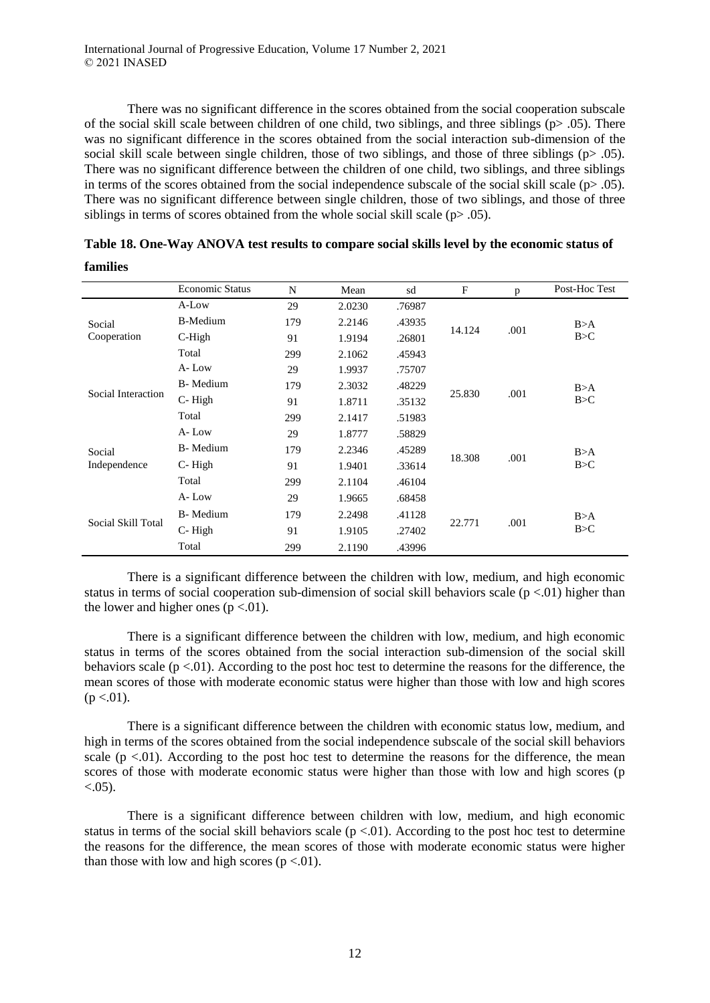**families**

There was no significant difference in the scores obtained from the social cooperation subscale of the social skill scale between children of one child, two siblings, and three siblings ( $p$ > .05). There was no significant difference in the scores obtained from the social interaction sub-dimension of the social skill scale between single children, those of two siblings, and those of three siblings ( $p > .05$ ). There was no significant difference between the children of one child, two siblings, and three siblings in terms of the scores obtained from the social independence subscale of the social skill scale ( $p > .05$ ). There was no significant difference between single children, those of two siblings, and those of three siblings in terms of scores obtained from the whole social skill scale  $(p> .05)$ .

|                    | <b>Economic Status</b> | N   | Mean   | sd     | $\mathbf{F}$ | p    | Post-Hoc Test |
|--------------------|------------------------|-----|--------|--------|--------------|------|---------------|
|                    | A-Low                  | 29  | 2.0230 | .76987 |              |      |               |
| Social             | <b>B-Medium</b>        | 179 | 2.2146 | .43935 | 14.124       |      | B>A           |
| Cooperation        | C-High                 | 91  | 1.9194 | .26801 |              | .001 | B > C         |
|                    | Total                  | 299 | 2.1062 | .45943 |              |      |               |
| Social Interaction | A-Low                  | 29  | 1.9937 | .75707 |              |      |               |
|                    | B-Medium               | 179 | 2.3032 | .48229 |              |      | B>A           |
|                    | C-High                 | 91  | 1.8711 | .35132 | 25.830       | .001 | B > C         |
|                    | Total                  | 299 | 2.1417 | .51983 |              |      |               |
|                    | A-Low                  | 29  | 1.8777 | .58829 |              |      |               |
| Social             | B-Medium               | 179 | 2.2346 | .45289 |              |      | B>A           |
| Independence       | C-High                 | 91  | 1.9401 | .33614 | 18.308       | .001 | B > C         |
|                    | Total                  | 299 | 2.1104 | .46104 |              |      |               |
|                    | A-Low                  | 29  | 1.9665 | .68458 |              |      |               |
| Social Skill Total | B-Medium               | 179 | 2.2498 | .41128 |              |      | B>A           |
|                    | C-High                 | 91  | 1.9105 | .27402 | 22.771       | .001 | B > C         |
|                    | Total                  | 299 | 2.1190 | .43996 |              |      |               |

|  | Table 18. One-Way ANOVA test results to compare social skills level by the economic status of |  |
|--|-----------------------------------------------------------------------------------------------|--|
|  |                                                                                               |  |

There is a significant difference between the children with low, medium, and high economic status in terms of social cooperation sub-dimension of social skill behaviors scale ( $p < 0$ ) higher than the lower and higher ones  $(p < 0.01)$ .

There is a significant difference between the children with low, medium, and high economic status in terms of the scores obtained from the social interaction sub-dimension of the social skill behaviors scale ( $p < 0.01$ ). According to the post hoc test to determine the reasons for the difference, the mean scores of those with moderate economic status were higher than those with low and high scores  $(p < .01)$ .

There is a significant difference between the children with economic status low, medium, and high in terms of the scores obtained from the social independence subscale of the social skill behaviors scale ( $p < 01$ ). According to the post hoc test to determine the reasons for the difference, the mean scores of those with moderate economic status were higher than those with low and high scores (p  $< 0.05$ ).

There is a significant difference between children with low, medium, and high economic status in terms of the social skill behaviors scale ( $p < 0.01$ ). According to the post hoc test to determine the reasons for the difference, the mean scores of those with moderate economic status were higher than those with low and high scores ( $p < 01$ ).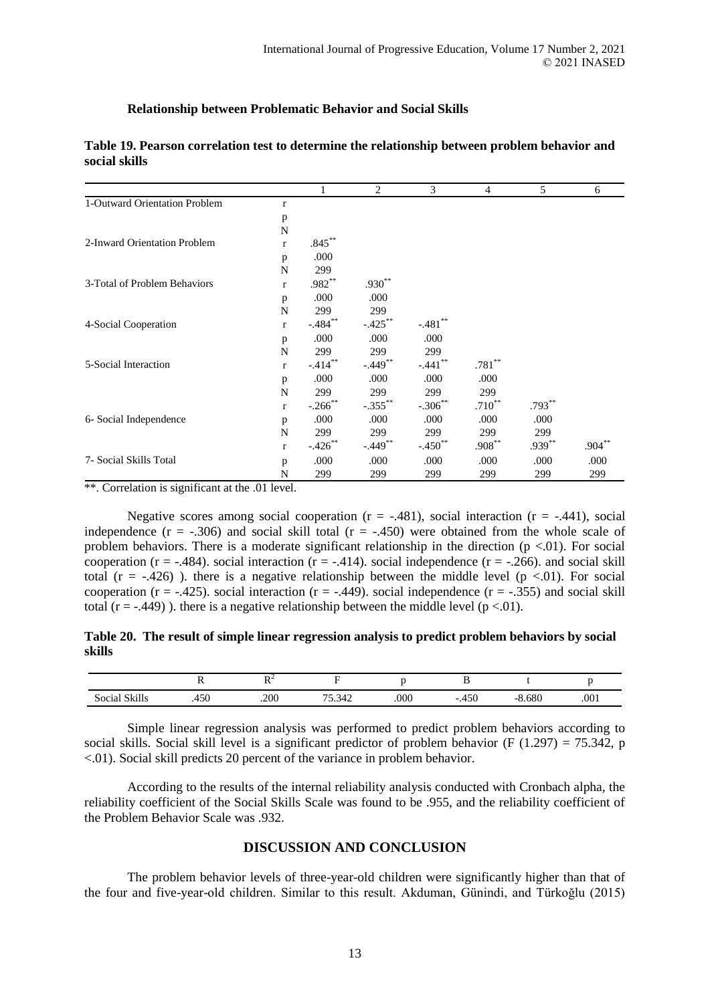#### **Relationship between Problematic Behavior and Social Skills**

|                               |              |                      | 2                     | 3                     | 4           | 5         | 6         |
|-------------------------------|--------------|----------------------|-----------------------|-----------------------|-------------|-----------|-----------|
| 1-Outward Orientation Problem | r            |                      |                       |                       |             |           |           |
|                               | p            |                      |                       |                       |             |           |           |
|                               | $\mathbf N$  |                      |                       |                       |             |           |           |
| 2-Inward Orientation Problem  | $\mathbf{r}$ | $.845***$            |                       |                       |             |           |           |
|                               | p            | .000                 |                       |                       |             |           |           |
|                               | N            | 299                  |                       |                       |             |           |           |
| 3-Total of Problem Behaviors  | $\mathbf{r}$ | $.982**$             | $.930**$              |                       |             |           |           |
|                               | p            | .000                 | .000                  |                       |             |           |           |
|                               | N            | 299                  | 299                   |                       |             |           |           |
| 4-Social Cooperation          | $\mathbf{r}$ | $-.484***$           | $-.425***$            | $-.481$ **            |             |           |           |
|                               | p            | .000                 | .000                  | .000                  |             |           |           |
|                               | N            | 299                  | 299                   | 299                   |             |           |           |
| 5-Social Interaction          | $\mathbf{r}$ | $-414$ <sup>**</sup> | $-.449$ <sup>**</sup> | $-.441$ **            | $.781**$    |           |           |
|                               | p            | .000                 | .000                  | .000                  | .000        |           |           |
|                               | N            | 299                  | 299                   | 299                   | 299         |           |           |
|                               | $\mathbf{r}$ | $-.266$ **           | $-.355$ **            | $-.306$ **            | $.710^{**}$ | $.793***$ |           |
| 6- Social Independence        | p            | .000                 | .000                  | .000                  | .000        | .000      |           |
|                               | N            | 299                  | 299                   | 299                   | 299         | 299       |           |
|                               | $\mathbf{r}$ | $-.426$ **           | $-.449**$             | $-.450$ <sup>**</sup> | $.908***$   | $.939**$  | $.904***$ |
| 7- Social Skills Total        | p            | .000                 | .000                  | .000                  | .000        | .000      | .000      |
|                               | N            | 299                  | 299                   | 299                   | 299         | 299       | 299       |

### **Table 19. Pearson correlation test to determine the relationship between problem behavior and social skills**

\*\*. Correlation is significant at the .01 level.

Negative scores among social cooperation  $(r = -.481)$ , social interaction  $(r = -.441)$ , social independence ( $r = -.306$ ) and social skill total ( $r = -.450$ ) were obtained from the whole scale of problem behaviors. There is a moderate significant relationship in the direction ( $p < 01$ ). For social cooperation ( $r = -0.484$ ). social interaction ( $r = -0.414$ ). social independence ( $r = -0.266$ ). and social skill total ( $r = -.426$ )). there is a negative relationship between the middle level ( $p < .01$ ). For social cooperation ( $r = -0.445$ ). social interaction ( $r = -0.449$ ). social independence ( $r = -0.355$ ) and social skill total (r = -.449)). there is a negative relationship between the middle level ( $p < 01$ ).

#### **Table 20. The result of simple linear regression analysis to predict problem behaviors by social skills**

|                         |                      | $\mathbf{L}$<br>-- |                           |      |                         |       |      |
|-------------------------|----------------------|--------------------|---------------------------|------|-------------------------|-------|------|
| 01.11<br>oc19<br>Sk111s | $\sim$ $\sim$<br>+JV | .200               | --<br>$\bigcap$<br>'J.J42 | .000 | $- - -$<br>໋<br>$\cdot$ | 8.680 | .001 |

Simple linear regression analysis was performed to predict problem behaviors according to social skills. Social skill level is a significant predictor of problem behavior (F  $(1.297) = 75.342$ , p <.01). Social skill predicts 20 percent of the variance in problem behavior.

According to the results of the internal reliability analysis conducted with Cronbach alpha, the reliability coefficient of the Social Skills Scale was found to be .955, and the reliability coefficient of the Problem Behavior Scale was .932.

### **DISCUSSION AND CONCLUSION**

The problem behavior levels of three-year-old children were significantly higher than that of the four and five-year-old children. Similar to this result. Akduman, Günindi, and Türkoğlu (2015)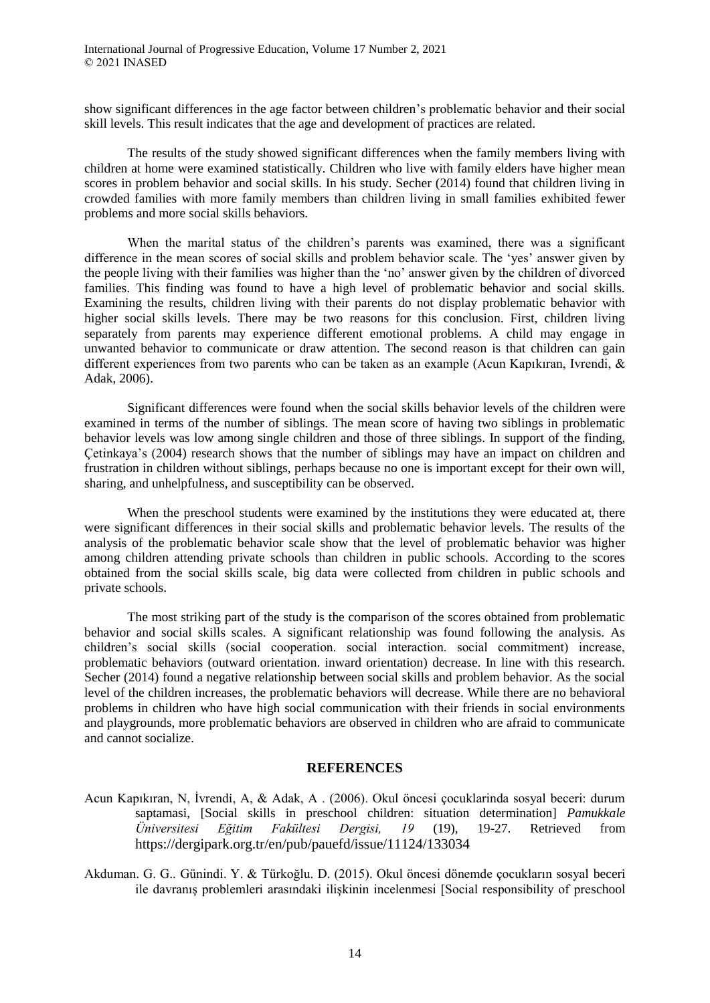show significant differences in the age factor between children's problematic behavior and their social skill levels. This result indicates that the age and development of practices are related.

The results of the study showed significant differences when the family members living with children at home were examined statistically. Children who live with family elders have higher mean scores in problem behavior and social skills. In his study. Secher (2014) found that children living in crowded families with more family members than children living in small families exhibited fewer problems and more social skills behaviors.

When the marital status of the children's parents was examined, there was a significant difference in the mean scores of social skills and problem behavior scale. The 'yes' answer given by the people living with their families was higher than the 'no' answer given by the children of divorced families. This finding was found to have a high level of problematic behavior and social skills. Examining the results, children living with their parents do not display problematic behavior with higher social skills levels. There may be two reasons for this conclusion. First, children living separately from parents may experience different emotional problems. A child may engage in unwanted behavior to communicate or draw attention. The second reason is that children can gain different experiences from two parents who can be taken as an example (Acun Kapıkıran, Ivrendi, & Adak, 2006).

Significant differences were found when the social skills behavior levels of the children were examined in terms of the number of siblings. The mean score of having two siblings in problematic behavior levels was low among single children and those of three siblings. In support of the finding, Çetinkaya's (2004) research shows that the number of siblings may have an impact on children and frustration in children without siblings, perhaps because no one is important except for their own will, sharing, and unhelpfulness, and susceptibility can be observed.

When the preschool students were examined by the institutions they were educated at, there were significant differences in their social skills and problematic behavior levels. The results of the analysis of the problematic behavior scale show that the level of problematic behavior was higher among children attending private schools than children in public schools. According to the scores obtained from the social skills scale, big data were collected from children in public schools and private schools.

The most striking part of the study is the comparison of the scores obtained from problematic behavior and social skills scales. A significant relationship was found following the analysis. As children's social skills (social cooperation. social interaction. social commitment) increase, problematic behaviors (outward orientation. inward orientation) decrease. In line with this research. Secher (2014) found a negative relationship between social skills and problem behavior. As the social level of the children increases, the problematic behaviors will decrease. While there are no behavioral problems in children who have high social communication with their friends in social environments and playgrounds, more problematic behaviors are observed in children who are afraid to communicate and cannot socialize.

#### **REFERENCES**

- Acun Kapıkıran, N, İvrendi, A, & Adak, A. (2006). Okul öncesi çocuklarinda sosyal beceri: durum saptamasi, [Social skills in preschool children: situation determination] *Pamukkale Üniversitesi Eğitim Fakültesi Dergisi, 19* (19), 19-27. Retrieved from https://dergipark.org.tr/en/pub/pauefd/issue/11124/133034
- Akduman. G. G.. Günindi. Y. & Türkoğlu. D. (2015). Okul öncesi dönemde çocukların sosyal beceri ile davranış problemleri arasındaki ilişkinin incelenmesi [Social responsibility of preschool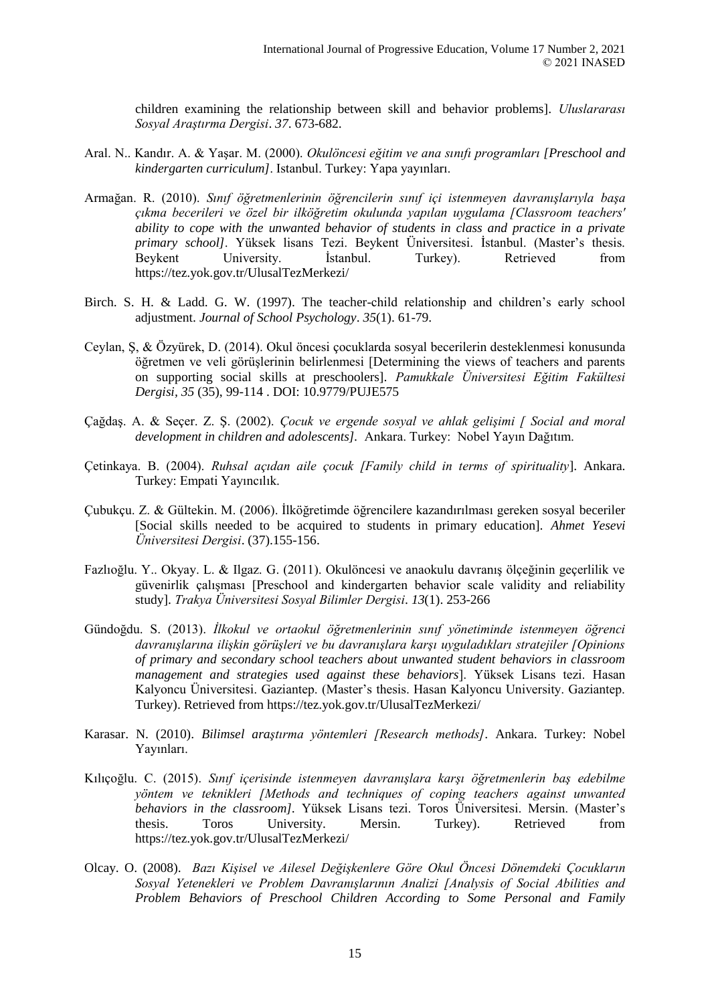children examining the relationship between skill and behavior problems]. *Uluslararası Sosyal Araştırma Dergisi*. *37*. 673-682.

- Aral. N.. Kandır. A. & Yaşar. M. (2000). *Okulöncesi eğitim ve ana sınıfı programları [Preschool and kindergarten curriculum]*. Istanbul. Turkey: Yapa yayınları.
- Armağan. R. (2010). *Sınıf öğretmenlerinin öğrencilerin sınıf içi istenmeyen davranışlarıyla başa çıkma becerileri ve özel bir ilköğretim okulunda yapılan uygulama [Classroom teachers' ability to cope with the unwanted behavior of students in class and practice in a private primary school]*. Yüksek lisans Tezi. Beykent Üniversitesi. İstanbul. (Master's thesis. Beykent University. İstanbul. Turkey). Retrieved from https://tez.yok.gov.tr/UlusalTezMerkezi/
- Birch. S. H. & Ladd. G. W. (1997). The teacher-child relationship and children's early school adjustment. *Journal of School Psychology*. *35*(1). 61-79.
- Ceylan, Ş, & Özyürek, D. (2014). Okul öncesi çocuklarda sosyal becerilerin desteklenmesi konusunda öğretmen ve veli görüşlerinin belirlenmesi [Determining the views of teachers and parents on supporting social skills at preschoolers]. *Pamukkale Üniversitesi Eğitim Fakültesi Dergisi, 35* (35), 99-114 . DOI: 10.9779/PUJE575
- Çağdaş. A. & Seçer. Z. Ş. (2002). *Çocuk ve ergende sosyal ve ahlak gelişimi [ Social and moral development in children and adolescents].* Ankara. Turkey: Nobel Yayın Dağıtım.
- Çetinkaya. B. (2004). *Ruhsal açıdan aile çocuk [Family child in terms of spirituality*]. Ankara. Turkey: Empati Yayıncılık.
- Çubukçu. Z. & Gültekin. M. (2006). İlköğretimde öğrencilere kazandırılması gereken sosyal beceriler [Social skills needed to be acquired to students in primary education]. *Ahmet Yesevi Üniversitesi Dergisi*. (37).155-156.
- Fazlıoğlu. Y.. Okyay. L. & Ilgaz. G. (2011). Okulöncesi ve anaokulu davranış ölçeğinin geçerlilik ve güvenirlik çalışması [Preschool and kindergarten behavior scale validity and reliability study]. *Trakya Üniversitesi Sosyal Bilimler Dergisi*. *13*(1). 253-266
- Gündoğdu. S. (2013). *İlkokul ve ortaokul öğretmenlerinin sınıf yönetiminde istenmeyen öğrenci davranışlarına ilişkin görüşleri ve bu davranışlara karşı uyguladıkları stratejiler [Opinions of primary and secondary school teachers about unwanted student behaviors in classroom management and strategies used against these behaviors*]. Yüksek Lisans tezi. Hasan Kalyoncu Üniversitesi. Gaziantep. (Master's thesis. Hasan Kalyoncu University. Gaziantep. Turkey). Retrieved from https://tez.yok.gov.tr/UlusalTezMerkezi/
- Karasar. N. (2010). *Bilimsel araştırma yöntemleri [Research methods]*. Ankara. Turkey: Nobel Yayınları.
- Kılıçoğlu. C. (2015). *Sınıf içerisinde istenmeyen davranışlara karşı öğretmenlerin baş edebilme yöntem ve teknikleri [Methods and techniques of coping teachers against unwanted behaviors in the classroom].* Yüksek Lisans tezi. Toros Üniversitesi. Mersin. (Master's thesis. Toros University. Mersin. Turkey). Retrieved from https://tez.yok.gov.tr/UlusalTezMerkezi/
- Olcay. O. (2008). *Bazı Kişisel ve Ailesel Değişkenlere Göre Okul Öncesi Dönemdeki Çocukların Sosyal Yetenekleri ve Problem Davranışlarının Analizi [Analysis of Social Abilities and Problem Behaviors of Preschool Children According to Some Personal and Family*